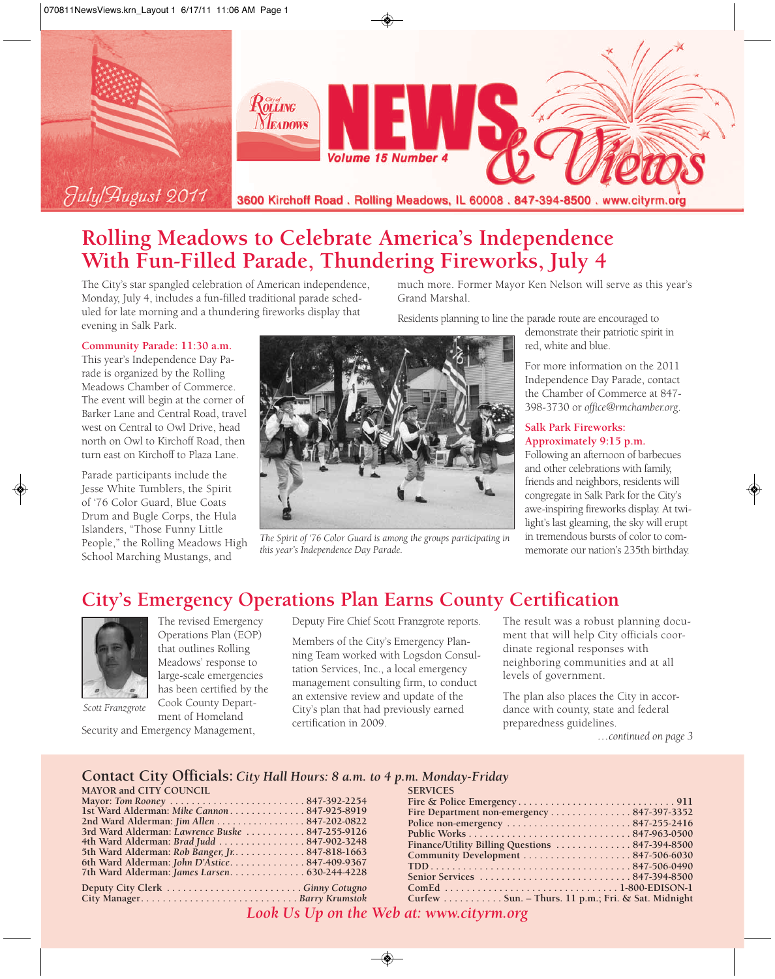

# **Rolling Meadows to Celebrate America's Independence With Fun-Filled Parade, Thundering Fireworks, July 4**

The City's star spangled celebration of American independence, Monday, July 4, includes a fun-filled traditional parade scheduled for late morning and a thundering fireworks display that evening in Salk Park.

#### **Community Parade: 11:30 a.m.**

This year's Independence Day Parade is organized by the Rolling Meadows Chamber of Commerce. The event will begin at the corner of Barker Lane and Central Road, travel west on Central to Owl Drive, head north on Owl to Kirchoff Road, then turn east on Kirchoff to Plaza Lane.

Parade participants include the Jesse White Tumblers, the Spirit of '76 Color Guard, Blue Coats Drum and Bugle Corps, the Hula Islanders, "Those Funny Little People," the Rolling Meadows High School Marching Mustangs, and

much more. Former Mayor Ken Nelson will serve as this year's Grand Marshal.

Residents planning to line the parade route are encouraged to



*The Spirit of '76 Color Guard is among the groups participating in this year's Independence Day Parade.*

demonstrate their patriotic spirit in red, white and blue.

For more information on the 2011 Independence Day Parade, contact the Chamber of Commerce at 847- 398-3730 or *office@rmchamber.org*.

#### **Salk Park Fireworks: Approximately 9:15 p.m.**

Following an afternoon of barbecues and other celebrations with family, friends and neighbors, residents will congregate in Salk Park for the City's awe-inspiring fireworks display. At twilight's last gleaming, the sky will erupt in tremendous bursts of color to commemorate our nation's 235th birthday.

# **City's Emergency Operations Plan Earns County Certification**



The revised Emergency Operations Plan (EOP) that outlines Rolling Meadows' response to large-scale emergencies has been certified by the Cook County Department of Homeland

*Scott Franzgrote*

Security and Emergency Management,

Deputy Fire Chief Scott Franzgrote reports.

Members of the City's Emergency Planning Team worked with Logsdon Consultation Services, Inc., a local emergency management consulting firm, to conduct an extensive review and update of the City's plan that had previously earned certification in 2009.

The result was a robust planning document that will help City officials coordinate regional responses with neighboring communities and at all levels of government.

The plan also places the City in accordance with county, state and federal preparedness guidelines.

*…continued on page 3*

#### **Contact City Officials:** *City Hall Hours: 8 a.m. to 4 p.m. Monday-Friday*

| <b>MAYOR and CITY COUNCIL</b>                   |
|-------------------------------------------------|
|                                                 |
| 1st Ward Alderman: Mike Cannon 847-925-8919     |
| 2nd Ward Alderman: Jim Allen 847-202-0822       |
| 3rd Ward Alderman: Lawrence Buske  847-255-9126 |
| 4th Ward Alderman: Brad Judd  847-902-3248      |
| 5th Ward Alderman: Rob Banger, Jr. 847-818-1663 |
| 6th Ward Alderman: John D'Astice847-409-9367    |
|                                                 |
|                                                 |

**City Manager. . . . . . . . . . . . . . . . . . . . . . . . . . . . .** *Barry Krumstok*

| <b>SERVICES</b>                                    |
|----------------------------------------------------|
|                                                    |
| Fire Department non-emergency847-397-3352          |
| Police non-emergency 847-255-2416                  |
|                                                    |
| Finance/Utility Billing Questions  847-394-8500    |
|                                                    |
|                                                    |
|                                                    |
|                                                    |
| Curfew Sun. – Thurs. 11 p.m.; Fri. & Sat. Midnight |
|                                                    |

*Look Us Up on the Web at: www.cityrm.org*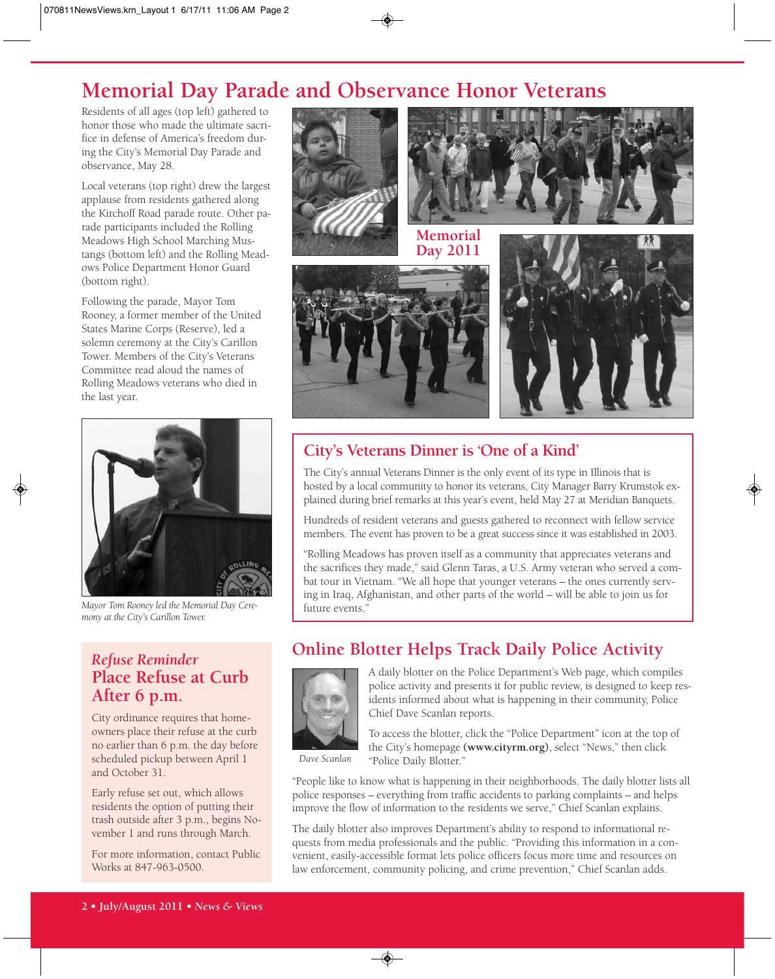# **Memorial Day Parade and Observance Honor Veterans**

Residents of all ages (top left) gathered to honor those who made the ultimate sacrifice in defense of America's freedom during the City's Memorial Day Parade and observance, May 28.

Local veterans (top right) drew the largest applause from residents gathered along the Kirchoff Road parade route. Other parade participants included the Rolling Meadows High School Marching Mustangs (bottom left) and the Rolling Meadows Police Department Honor Guard (bottom right).

Following the parade, Mayor Tom Rooney, a former member of the United States Marine Corps (Reserve), led a solemn ceremony at the City's Carillon Tower. Members of the City's Veterans Committee read aloud the names of Rolling Meadows veterans who died in the last year.



*Mayor Tom Rooney led the Memorial Day Cere-* future events." *mony at the City's Carillon Tower.*

## *Refuse Reminder* **Place Refuse at Curb After 6 p.m.**

City ordinance requires that homeowners place their refuse at the curb no earlier than 6 p.m. the day before scheduled pickup between April 1 and October 31.

Early refuse set out, which allows residents the option of putting their trash outside after 3 p.m., begins November 1 and runs through March.

For more information, contact Public Works at 847-963-0500.



## **City's Veterans Dinner is 'One of a Kind'**

The City's annual Veterans Dinner is the only event of its type in Illinois that is hosted by a local community to honor its veterans, City Manager Barry Krumstok explained during brief remarks at this year's event, held May 27 at Meridian Banquets.

Hundreds of resident veterans and guests gathered to reconnect with fellow service members. The event has proven to be a great success since it was established in 2003.

"Rolling Meadows has proven itself as a community that appreciates veterans and the sacrifices they made," said Glenn Taras, a U.S. Army veteran who served a combat tour in Vietnam. "We all hope that younger veterans – the ones currently serving in Iraq, Afghanistan, and other parts of the world – will be able to join us for

## **Online Blotter Helps Track Daily Police Activity**



A daily blotter on the Police Department's Web page, which compiles police activity and presents it for public review, is designed to keep residents informed about what is happening in their community, Police Chief Dave Scanlan reports.

*Dave Scanlan*

To access the blotter, click the "Police Department" icon at the top of the City's homepage **(www.cityrm.org)**, select "News," then click "Police Daily Blotter."

"People like to know what is happening in their neighborhoods. The daily blotter lists all police responses – everything from traffic accidents to parking complaints – and helps improve the flow of information to the residents we serve," Chief Scanlan explains.

The daily blotter also improves Department's ability to respond to informational requests from media professionals and the public. "Providing this information in a convenient, easily-accessible format lets police officers focus more time and resources on law enforcement, community policing, and crime prevention," Chief Scanlan adds.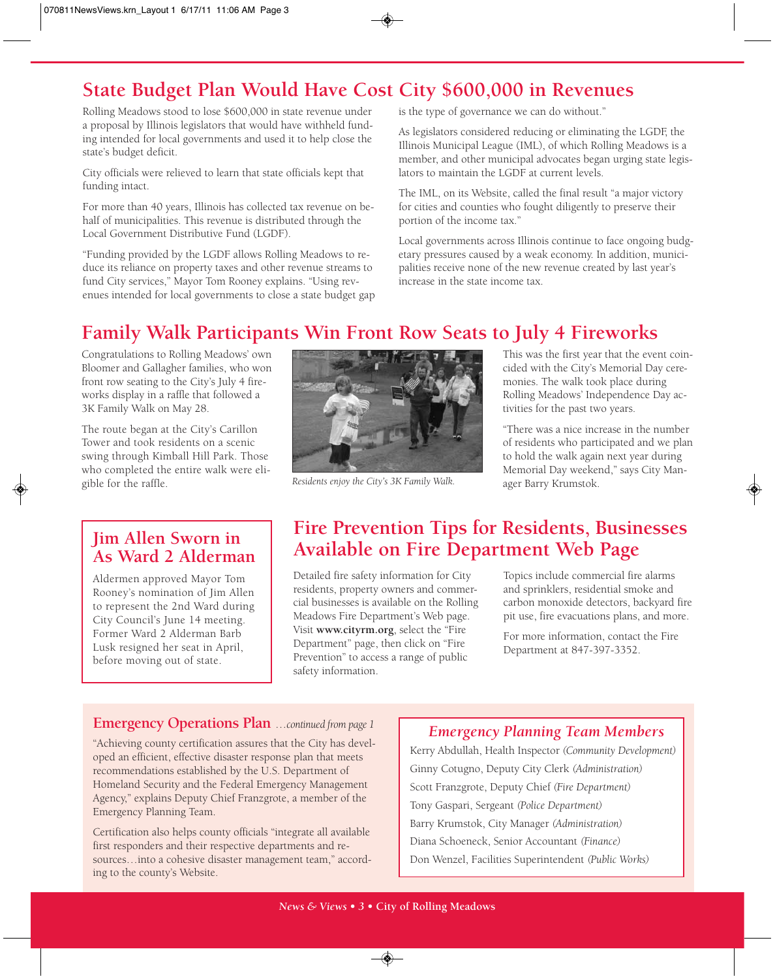# **State Budget Plan Would Have Cost City \$600,000 in Revenues**

Rolling Meadows stood to lose \$600,000 in state revenue under a proposal by Illinois legislators that would have withheld funding intended for local governments and used it to help close the state's budget deficit.

City officials were relieved to learn that state officials kept that funding intact.

For more than 40 years, Illinois has collected tax revenue on behalf of municipalities. This revenue is distributed through the Local Government Distributive Fund (LGDF).

"Funding provided by the LGDF allows Rolling Meadows to reduce its reliance on property taxes and other revenue streams to fund City services," Mayor Tom Rooney explains. "Using revenues intended for local governments to close a state budget gap is the type of governance we can do without."

As legislators considered reducing or eliminating the LGDF, the Illinois Municipal League (IML), of which Rolling Meadows is a member, and other municipal advocates began urging state legislators to maintain the LGDF at current levels.

The IML, on its Website, called the final result "a major victory for cities and counties who fought diligently to preserve their portion of the income tax."

Local governments across Illinois continue to face ongoing budgetary pressures caused by a weak economy. In addition, municipalities receive none of the new revenue created by last year's increase in the state income tax.

# **Family Walk Participants Win Front Row Seats to July 4 Fireworks**

Congratulations to Rolling Meadows' own Bloomer and Gallagher families, who won front row seating to the City's July 4 fireworks display in a raffle that followed a 3K Family Walk on May 28.

The route began at the City's Carillon Tower and took residents on a scenic swing through Kimball Hill Park. Those who completed the entire walk were eligible for the raffle.

## **Jim Allen Sworn in As Ward 2 Alderman**

Aldermen approved Mayor Tom Rooney's nomination of Jim Allen to represent the 2nd Ward during City Council's June 14 meeting. Former Ward 2 Alderman Barb Lusk resigned her seat in April, before moving out of state.



Residents enjoy the City's 3K Family Walk. ager Barry Krumstok.

This was the first year that the event coincided with the City's Memorial Day ceremonies. The walk took place during Rolling Meadows' Independence Day activities for the past two years.

"There was a nice increase in the number of residents who participated and we plan to hold the walk again next year during Memorial Day weekend," says City Man-

## **Fire Prevention Tips for Residents, Businesses Available on Fire Department Web Page**

Detailed fire safety information for City residents, property owners and commercial businesses is available on the Rolling Meadows Fire Department's Web page. Visit **www.cityrm.org**, select the "Fire Department" page, then click on "Fire Prevention" to access a range of public safety information.

Topics include commercial fire alarms and sprinklers, residential smoke and carbon monoxide detectors, backyard fire pit use, fire evacuations plans, and more.

For more information, contact the Fire Department at 847-397-3352.

#### **Emergency Operations Plan** *…continued from page 1*

"Achieving county certification assures that the City has developed an efficient, effective disaster response plan that meets recommendations established by the U.S. Department of Homeland Security and the Federal Emergency Management Agency," explains Deputy Chief Franzgrote, a member of the Emergency Planning Team.

Certification also helps county officials "integrate all available first responders and their respective departments and resources...into a cohesive disaster management team," according to the county's Website.

## *Emergency Planning Team Members*

Kerry Abdullah, Health Inspector *(Community Development)* Ginny Cotugno, Deputy City Clerk *(Administration)* Scott Franzgrote, Deputy Chief *(Fire Department)* Tony Gaspari, Sergeant *(Police Department)* Barry Krumstok, City Manager *(Administration)* Diana Schoeneck, Senior Accountant *(Finance)* Don Wenzel, Facilities Superintendent *(Public Works)*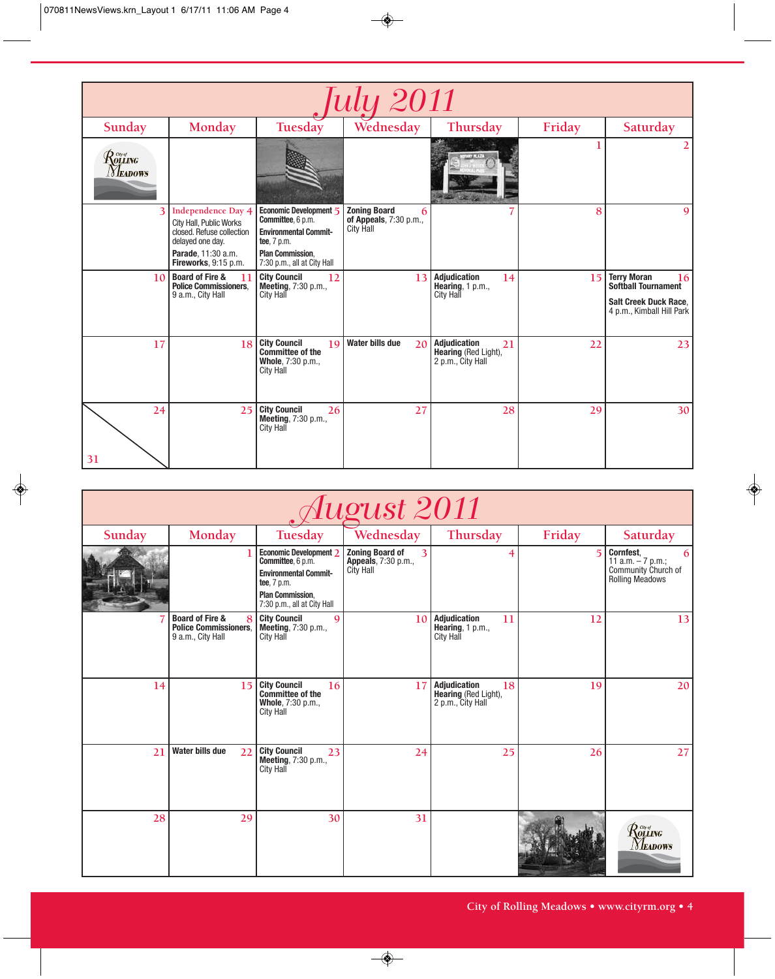| <b>July 2011</b>                                                                                                                             |                                                                                                                                                     |                                                                                                                                                      |                                                                        |                                                                        |        |                                                                                                              |  |  |  |  |
|----------------------------------------------------------------------------------------------------------------------------------------------|-----------------------------------------------------------------------------------------------------------------------------------------------------|------------------------------------------------------------------------------------------------------------------------------------------------------|------------------------------------------------------------------------|------------------------------------------------------------------------|--------|--------------------------------------------------------------------------------------------------------------|--|--|--|--|
| Sunday                                                                                                                                       | Monday                                                                                                                                              | Tuesday                                                                                                                                              | Wednesday                                                              | Thursday                                                               | Friday | Saturday                                                                                                     |  |  |  |  |
| $\mathcal{R}^{\tiny{{\scriptscriptstyle C}\!{\scriptscriptstyle W}\!{\scriptscriptstyle g}}}_{\scriptscriptstyle{OLLING}}$<br><b>Neadows</b> |                                                                                                                                                     |                                                                                                                                                      |                                                                        |                                                                        |        |                                                                                                              |  |  |  |  |
|                                                                                                                                              | <b>Independence Day 4</b><br>City Hall, Public Works<br>closed. Refuse collection<br>delayed one day.<br>Parade, 11:30 a.m.<br>Fireworks, 9:15 p.m. | Economic Development 5<br>Committee, 6 p.m.<br><b>Environmental Commit-</b><br>tee, 7 p.m.<br><b>Plan Commission,</b><br>7:30 p.m., all at City Hall | <b>Zoning Board</b><br>6<br>of Appeals, 7:30 p.m.,<br><b>City Hall</b> |                                                                        | 8      | 9                                                                                                            |  |  |  |  |
| 10                                                                                                                                           | <b>Board of Fire &amp;</b><br>-11<br>Police Commissioners.<br>9 a.m., City Hall                                                                     | <b>City Council</b><br>12<br>Meeting, 7:30 p.m.,<br>City Hall                                                                                        | 13                                                                     | <b>Adjudication</b><br>14<br>Hearing, $1 p.m.,$<br><b>City Hall</b>    | 15     | <b>Terry Moran</b><br>16<br>Softball Tournament<br><b>Salt Creek Duck Race.</b><br>4 p.m., Kimball Hill Park |  |  |  |  |
| 17                                                                                                                                           | 18                                                                                                                                                  | <b>City Council</b><br>19<br>Committee of the<br>Whole, 7:30 p.m.,<br><b>City Hall</b>                                                               | <b>Water bills due</b><br>20                                           | <b>Adjudication</b><br>21<br>Hearing (Red Light),<br>2 p.m., City Hall | 22     | 23                                                                                                           |  |  |  |  |
| 24<br>31                                                                                                                                     | 25                                                                                                                                                  | <b>City Council</b><br>26<br>Meeting, 7:30 p.m.,<br>City Hall                                                                                        | 27                                                                     | 28                                                                     | 29     | 30                                                                                                           |  |  |  |  |

| August 2011 |                                                                                      |                                                                                                                                                      |                                                                 |                                                                     |                |                                                                                                          |  |  |  |  |
|-------------|--------------------------------------------------------------------------------------|------------------------------------------------------------------------------------------------------------------------------------------------------|-----------------------------------------------------------------|---------------------------------------------------------------------|----------------|----------------------------------------------------------------------------------------------------------|--|--|--|--|
| Sunday      | Monday                                                                               | Tuesday                                                                                                                                              | Wednesday                                                       | Thursday                                                            | Friday         | Saturday                                                                                                 |  |  |  |  |
|             |                                                                                      | Economic Development 2<br>Committee, 6 p.m.<br><b>Environmental Commit-</b><br>tee, 7 p.m.<br><b>Plan Commission.</b><br>7:30 p.m., all at City Hall | <b>Zoning Board of</b><br>3<br>Appeals, 7:30 p.m.,<br>City Hall | 4                                                                   | $\overline{5}$ | <b>Cornfest.</b><br>6<br>11 a.m. $-7$ p.m.;<br>Community Church of<br><b>Rolling Meadows</b>             |  |  |  |  |
|             | <b>Board of Fire &amp;</b><br>8<br><b>Police Commissioners.</b><br>9 a.m., City Hall | <b>City Council</b><br>$\mathbf Q$<br><b>Meeting, 7:30 p.m.,</b><br><b>City Hall</b>                                                                 | 10                                                              | <b>Adjudication</b><br>11<br>Hearing, $1 p.m.,$<br><b>City Hall</b> | 12             | 13                                                                                                       |  |  |  |  |
| 14          | 15                                                                                   | <b>City Council</b><br>16<br><b>Committee of the</b><br>Whole, 7:30 p.m.,<br><b>City Hall</b>                                                        | 17                                                              | Adjudication<br>18<br>Hearing (Red Light),<br>2 p.m., City Hall     | 19             | 20                                                                                                       |  |  |  |  |
| 21          | Water bills due<br>22                                                                | <b>City Council</b><br>23<br><b>Meeting, 7:30 p.m.,</b><br><b>City Hall</b>                                                                          | 24                                                              | 25                                                                  | 26             | 27                                                                                                       |  |  |  |  |
| 28          | 29                                                                                   | 30                                                                                                                                                   | 31                                                              |                                                                     |                | $\mathcal{R}^{\tiny{{\tiny\it C}\!\!{\tiny\it W}\!\!{\tiny\it G}}}_{\tiny \it OLLING}$<br><i>Neadows</i> |  |  |  |  |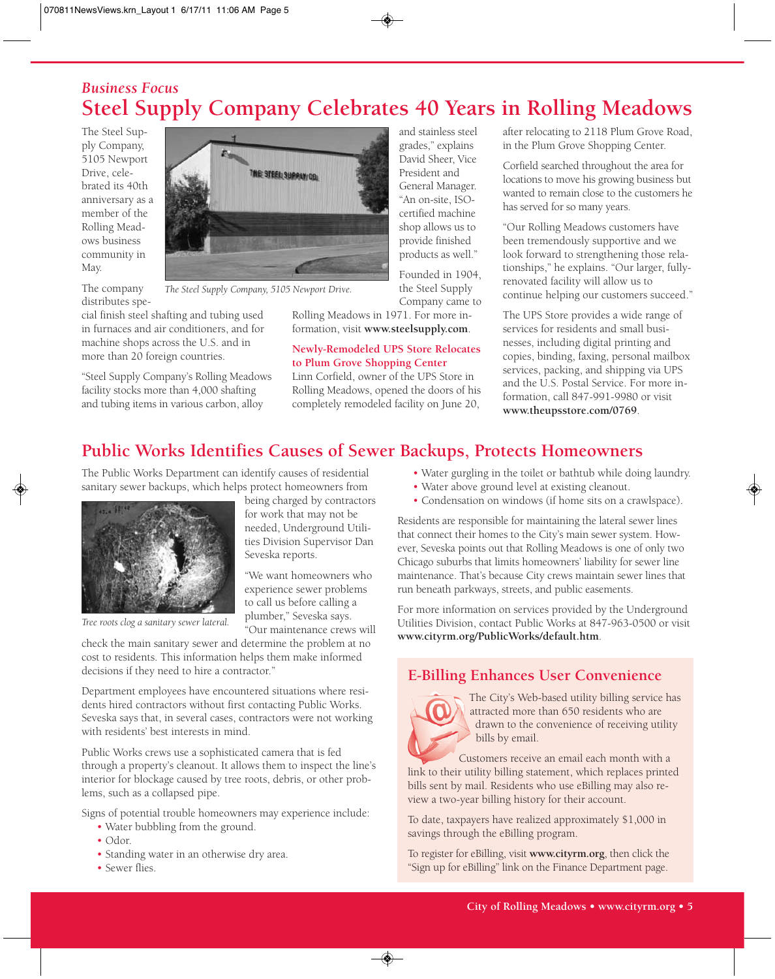## *Business Focus* **Steel Supply Company Celebrates 40 Years in Rolling Meadows**

and stainless steel grades," explains David Sheer, Vice President and General Manager. "An on-site, ISOcertified machine shop allows us to provide finished products as well." Founded in 1904, the Steel Supply

The Steel Supply Company, 5105 Newport Drive, celebrated its 40th anniversary as a member of the Rolling Meadows business community in May.



cial finish steel shafting and tubing used in furnaces and air conditioners, and for machine shops across the U.S. and in more than 20 foreign countries.

"Steel Supply Company's Rolling Meadows facility stocks more than 4,000 shafting and tubing items in various carbon, alloy



*The Steel Supply Company, 5105 Newport Drive.*

Company came to Rolling Meadows in 1971. For more information, visit **www.steelsupply.com**.

#### **Newly-Remodeled UPS Store Relocates to Plum Grove Shopping Center**

Linn Corfield, owner of the UPS Store in Rolling Meadows, opened the doors of his completely remodeled facility on June 20,

after relocating to 2118 Plum Grove Road, in the Plum Grove Shopping Center.

Corfield searched throughout the area for locations to move his growing business but wanted to remain close to the customers he has served for so many years.

"Our Rolling Meadows customers have been tremendously supportive and we look forward to strengthening those relationships," he explains. "Our larger, fullyrenovated facility will allow us to continue helping our customers succeed."

The UPS Store provides a wide range of services for residents and small businesses, including digital printing and copies, binding, faxing, personal mailbox services, packing, and shipping via UPS and the U.S. Postal Service. For more information, call 847-991-9980 or visit **www.theupsstore.com/0769**.

## **Public Works Identifies Causes of Sewer Backups, Protects Homeowners**

The Public Works Department can identify causes of residential sanitary sewer backups, which helps protect homeowners from



*Tree roots clog a sanitary sewer lateral.*

being charged by contractors for work that may not be

needed, Underground Utilities Division Supervisor Dan Seveska reports.

"We want homeowners who experience sewer problems to call us before calling a plumber," Seveska says. "Our maintenance crews will

check the main sanitary sewer and determine the problem at no cost to residents. This information helps them make informed decisions if they need to hire a contractor."

Department employees have encountered situations where residents hired contractors without first contacting Public Works. Seveska says that, in several cases, contractors were not working with residents' best interests in mind.

Public Works crews use a sophisticated camera that is fed through a property's cleanout. It allows them to inspect the line's interior for blockage caused by tree roots, debris, or other problems, such as a collapsed pipe.

Signs of potential trouble homeowners may experience include:

- Water bubbling from the ground.
- Odor.
- Standing water in an otherwise dry area.
- Sewer flies.
- Water gurgling in the toilet or bathtub while doing laundry.
- Water above ground level at existing cleanout.
- Condensation on windows (if home sits on a crawlspace).

Residents are responsible for maintaining the lateral sewer lines that connect their homes to the City's main sewer system. However, Seveska points out that Rolling Meadows is one of only two Chicago suburbs that limits homeowners' liability for sewer line maintenance. That's because City crews maintain sewer lines that run beneath parkways, streets, and public easements.

For more information on services provided by the Underground Utilities Division, contact Public Works at 847-963-0500 or visit **www.cityrm.org/PublicWorks/default.htm**.

## **E-Billing Enhances User Convenience**



The City's Web-based utility billing service has attracted more than 650 residents who are drawn to the convenience of receiving utility bills by email.

Customers receive an email each month with a link to their utility billing statement, which replaces printed bills sent by mail. Residents who use eBilling may also review a two-year billing history for their account.

To date, taxpayers have realized approximately \$1,000 in savings through the eBilling program.

To register for eBilling, visit **www.cityrm.org**, then click the "Sign up for eBilling" link on the Finance Department page.